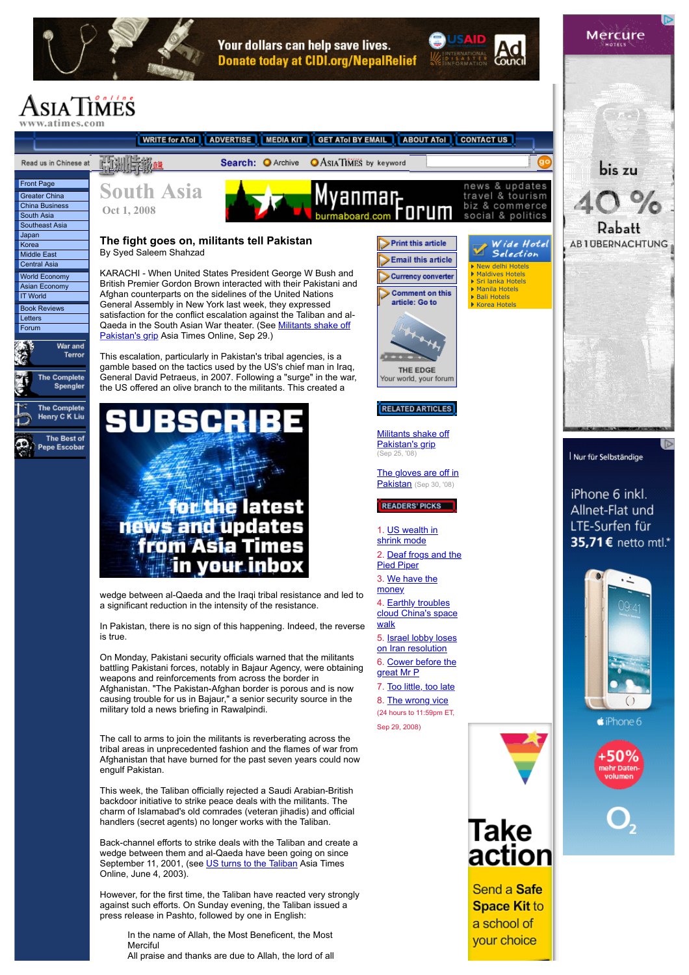

Your dollars can help save lives. **Donate today at CIDI.org/NepalRelief** 

Send a Safe **Space Kit to** a school of your choice

## siaTimes

WRITE for ATol | ADVERTISE | MEDIA KIT | GET ATOI BY EMAIL | ABOUT ATOI | **CONTACT US** 防测导器 Read us in Chinese at Search: **O** Archive **OASIATIMES** by keyword **Front Page** & updates **South Asia**anmar<sub>r</sub> [Greater China](http://www.atimes.com/atimes/China.html)  travel & tourism biz & commerce [China Business](http://www.atimes.com/atimes/China_Business.html)  **Oct 1, 2008** social & politics [South Asia](http://www.atimes.com/atimes/South_Asia.html)  [Southeast Asia](http://www.atimes.com/atimes/Southeast_Asia.html)  [Japan](http://www.atimes.com/atimes/Japan.html)  **The fight goes on, militants tell Pakistan**  $\triangleright$  Print this article Wide Hotel [Korea](http://www.atimes.com/atimes/Korea.html)  By Syed Saleem Shahzad Selection [Middle East](http://www.atimes.com/atimes/Middle_East.html)  **Email this article** [Central Asia](http://www.atimes.com/atimes/Central_Asia.html)  [New delhi Hotels](http://www.hoteltravel.com/india/newdelhi/hotels.htm) [Maldives Hotels](http://www.hoteltravel.com/maldives/hotels.htm) KARACHI - When United States President George W Bush and [World Economy](http://www.atimes.com/atimes/Global_Economy.html) Currency converter British Premier Gordon Brown interacted with their Pakistani and [Sri lanka Hotels](http://www.hoteltravel.com/sri_lanka/hotels.htm) [Asian Economy](http://www.atimes.com/atimes/Asian_Economy.html) **[Manila Hotels](http://www.hoteltravel.com/philippines/manila/hotels.htm)** Afghan counterparts on the sidelines of the United Nations **Comment on this [IT World](http://www.atimes.com/atimes/others/it-world.html)** [Bali Hotels](http://www.hoteltravel.com/indonesia/bali/hotels.htm) article: Go to General Assembly in New York last week, they expressed [Korea Hotels](http://www.hoteltravel.com/south_korea/hotels.htm) [Book Reviews](http://www.atimes.com/atimes/book_reviews.html)  satisfaction for the conflict escalation against the Taliban and al-**Letters** [Qaeda in the South Asian War theater. \(See Militants shake off](http://www.atimes.com/atimes/South_Asia/JI25Df01.html) [Forum](http://forum.atimes.com/)  Pakistan's grip Asia Times Online, Sep 29.) War and \_\_\_\_\_\_<br>Terror This escalation, particularly in Pakistan's tribal agencies, is a gamble based on the tactics used by the US's chief man in Iraq, THE EDGE General David Petraeus, in 2007. Following a "surge" in the war, The Complete Your world, your forum Spengler the US offered an olive branch to the militants. This created a The Complete **RELATED ARTICLES** Henry C K Liu **BSCI** [Militants shake off](http://www.atimes.com/atimes/South_Asia/JI25Df01.html) The Best of 59 Pakistan's grip Pepe Escobar (Sep 25, '08) [The gloves are off in](http://www.atimes.com/atimes/South_Asia/JI23Df01.html) Pakistan (Sep 30, '08) **for the latest READERS PICKS** news and updates 1. [US wealth in](http://www.atimes.com/atimes/Global_Economy/JI30Dj08.html) from Asia Times shrink mode 2. [Deaf frogs and the](http://www.atimes.com/atimes/Global_Economy/JI30Dj09.html) in vour inbox Pied Piper 3. [We have the](http://www.atimes.com/atimes/Middle_East/JI30Ak01.html) money wedge between al-Qaeda and the Iraqi tribal resistance and led to 4. Earthly troubles a significant reduction in the intensity of the resistance. [cloud China's space](http://www.atimes.com/atimes/China/JI30Ad01.html) walk In Pakistan, there is no sign of this happening. Indeed, the reverse is true. 5. [Israel lobby loses](http://www.atimes.com/atimes/Middle_East/JI30Ak02.html) on Iran resolution On Monday, Pakistani security officials warned that the militants 6. [Cower before the](http://www.atimes.com/atimes/Global_Economy/JI27Dj01.html) battling Pakistani forces, notably in Bajaur Agency, were obtaining great Mr P weapons and reinforcements from across the border in 7. [Too little, too late](http://www.atimes.com/atimes/Global_Economy/JI26Dj03.html) Afghanistan. "The Pakistan-Afghan border is porous and is now causing trouble for us in Bajaur," a senior security source in the 8. [The wrong vice](http://www.atimes.com/atimes/Front_Page/JI30Aa01.html) military told a news briefing in Rawalpindi. (24 hours to 11:59pm ET, Sep 29, 2008)The call to arms to join the militants is reverberating across the tribal areas in unprecedented fashion and the flames of war from Afghanistan that have burned for the past seven years could now engulf Pakistan. This week, the Taliban officially rejected a Saudi Arabian-British backdoor initiative to strike peace deals with the militants. The charm of Islamabad's old comrades (veteran jihadis) and official handlers (secret agents) no longer works with the Taliban. Take Back-channel efforts to strike deals with the Taliban and create a action wedge between them and al-Qaeda have been going on since

September 11, 2001, (see [US turns to the Taliban](http://www.atimes.com/atimes/Central_Asia/EF14Ag01.html) Asia Times Online, June 4, 2003). However, for the first time, the Taliban have reacted very strongly against such efforts. On Sunday evening, the Taliban issued a

In the name of Allah, the Most Beneficent, the Most **Merciful** 

press release in Pashto, followed by one in English:

All praise and thanks are due to Allah, the lord of all

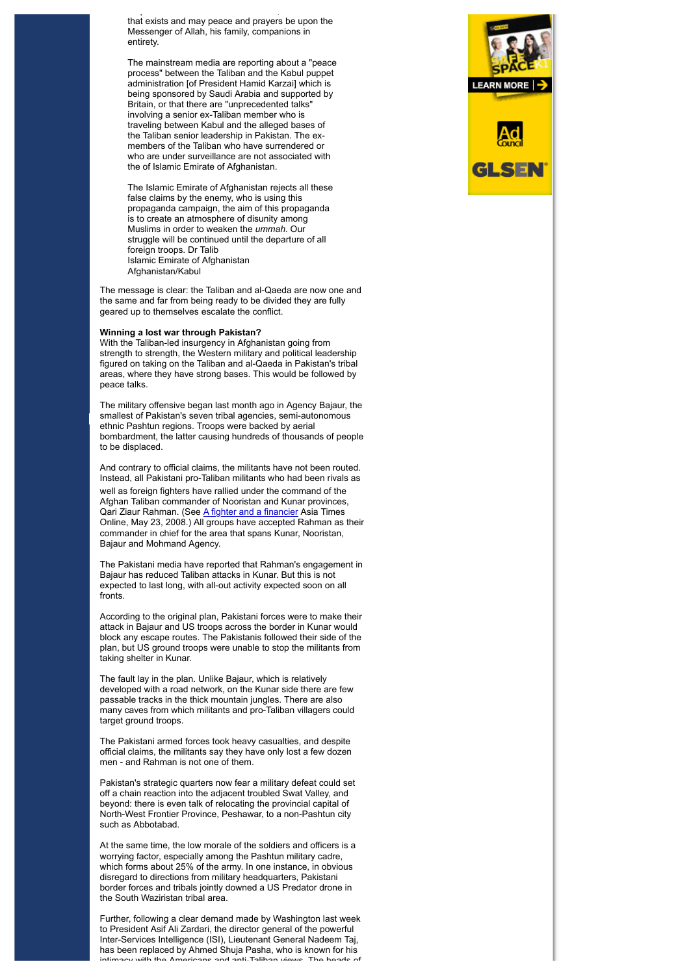All praise and thanks are due to Allah, the lord of all that exists and may peace and prayers be upon the Messenger of Allah, his family, companions in entirety.

The mainstream media are reporting about a "peace process" between the Taliban and the Kabul puppet administration [of President Hamid Karzai] which is being sponsored by Saudi Arabia and supported by Britain, or that there are "unprecedented talks" involving a senior ex-Taliban member who is traveling between Kabul and the alleged bases of the Taliban senior leadership in Pakistan. The exmembers of the Taliban who have surrendered or who are under surveillance are not associated with the of Islamic Emirate of Afghanistan.

The Islamic Emirate of Afghanistan rejects all these false claims by the enemy, who is using this propaganda campaign, the aim of this propaganda is to create an atmosphere of disunity among Muslims in order to weaken the *ummah*. Our struggle will be continued until the departure of all foreign troops. Dr Talib Islamic Emirate of Afghanistan Afghanistan/Kabul

The message is clear: the Taliban and al-Qaeda are now one and the same and far from being ready to be divided they are fully geared up to themselves escalate the conflict.

## **Winning a lost war through Pakistan?**

With the Taliban-led insurgency in Afghanistan going from strength to strength, the Western military and political leadership figured on taking on the Taliban and al-Qaeda in Pakistan's tribal areas, where they have strong bases. This would be followed by peace talks.

The military offensive began last month ago in Agency Bajaur, the smallest of Pakistan's seven tribal agencies, semi-autonomous ethnic Pashtun regions. Troops were backed by aerial bombardment, the latter causing hundreds of thousands of people to be displaced.

And contrary to official claims, the militants have not been routed. Instead, all Pakistani pro-Taliban militants who had been rivals as

well as foreign fighters have rallied under the command of the Afghan Taliban commander of Nooristan and Kunar provinces, Qari Ziaur Rahman. (See *A fighter and a financier* Asia Times Online, May 23, 2008.) All groups have accepted Rahman as their commander in chief for the area that spans Kunar, Nooristan, Bajaur and Mohmand Agency.

The Pakistani media have reported that Rahman's engagement in Bajaur has reduced Taliban attacks in Kunar. But this is not expected to last long, with all-out activity expected soon on all fronts.

According to the original plan, Pakistani forces were to make their attack in Bajaur and US troops across the border in Kunar would block any escape routes. The Pakistanis followed their side of the plan, but US ground troops were unable to stop the militants from taking shelter in Kunar.

The fault lay in the plan. Unlike Bajaur, which is relatively developed with a road network, on the Kunar side there are few passable tracks in the thick mountain jungles. There are also many caves from which militants and pro-Taliban villagers could target ground troops.

The Pakistani armed forces took heavy casualties, and despite official claims, the militants say they have only lost a few dozen men - and Rahman is not one of them.

Pakistan's strategic quarters now fear a military defeat could set off a chain reaction into the adjacent troubled Swat Valley, and beyond: there is even talk of relocating the provincial capital of North-West Frontier Province, Peshawar, to a non-Pashtun city such as Abbotabad.

At the same time, the low morale of the soldiers and officers is a worrying factor, especially among the Pashtun military cadre, which forms about 25% of the army. In one instance, in obvious disregard to directions from military headquarters, Pakistani border forces and tribals jointly downed a US Predator drone in the South Waziristan tribal area.

Further, following a clear demand made by Washington last week to President Asif Ali Zardari, the director general of the powerful Inter-Services Intelligence (ISI), Lieutenant General Nadeem Taj, has been replaced by Ahmed Shuja Pasha, who is known for his intimacy with the Americans and anti-Taliban views. The heads of